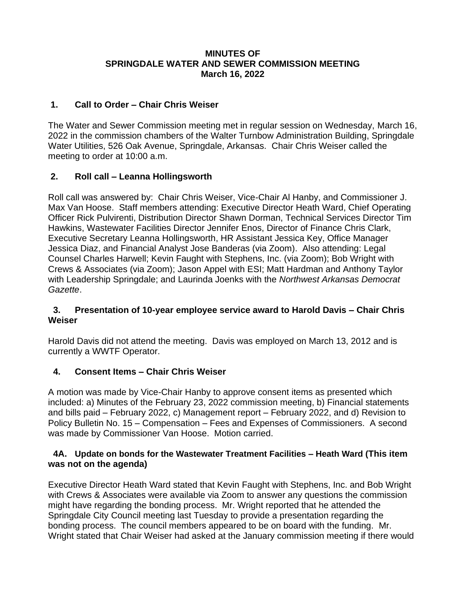# **MINUTES OF SPRINGDALE WATER AND SEWER COMMISSION MEETING March 16, 2022**

# **1. Call to Order – Chair Chris Weiser**

The Water and Sewer Commission meeting met in regular session on Wednesday, March 16, 2022 in the commission chambers of the Walter Turnbow Administration Building, Springdale Water Utilities, 526 Oak Avenue, Springdale, Arkansas. Chair Chris Weiser called the meeting to order at 10:00 a.m.

# **2. Roll call – Leanna Hollingsworth**

Roll call was answered by: Chair Chris Weiser, Vice-Chair Al Hanby, and Commissioner J. Max Van Hoose. Staff members attending: Executive Director Heath Ward, Chief Operating Officer Rick Pulvirenti, Distribution Director Shawn Dorman, Technical Services Director Tim Hawkins, Wastewater Facilities Director Jennifer Enos, Director of Finance Chris Clark, Executive Secretary Leanna Hollingsworth, HR Assistant Jessica Key, Office Manager Jessica Diaz, and Financial Analyst Jose Banderas (via Zoom). Also attending: Legal Counsel Charles Harwell; Kevin Faught with Stephens, Inc. (via Zoom); Bob Wright with Crews & Associates (via Zoom); Jason Appel with ESI; Matt Hardman and Anthony Taylor with Leadership Springdale; and Laurinda Joenks with the *Northwest Arkansas Democrat Gazette*.

## **3. Presentation of 10-year employee service award to Harold Davis – Chair Chris Weiser**

Harold Davis did not attend the meeting. Davis was employed on March 13, 2012 and is currently a WWTF Operator.

# **4. Consent Items – Chair Chris Weiser**

A motion was made by Vice-Chair Hanby to approve consent items as presented which included: a) Minutes of the February 23, 2022 commission meeting, b) Financial statements and bills paid – February 2022, c) Management report – February 2022, and d) Revision to Policy Bulletin No. 15 – Compensation – Fees and Expenses of Commissioners. A second was made by Commissioner Van Hoose. Motion carried.

## **4A. Update on bonds for the Wastewater Treatment Facilities – Heath Ward (This item was not on the agenda)**

Executive Director Heath Ward stated that Kevin Faught with Stephens, Inc. and Bob Wright with Crews & Associates were available via Zoom to answer any questions the commission might have regarding the bonding process. Mr. Wright reported that he attended the Springdale City Council meeting last Tuesday to provide a presentation regarding the bonding process. The council members appeared to be on board with the funding. Mr. Wright stated that Chair Weiser had asked at the January commission meeting if there would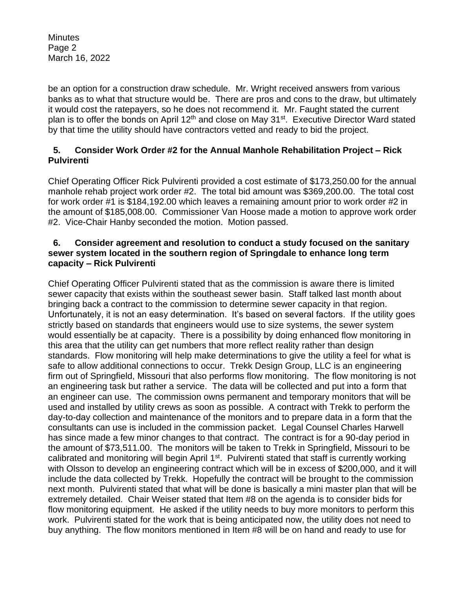**Minutes** Page 2 March 16, 2022

be an option for a construction draw schedule. Mr. Wright received answers from various banks as to what that structure would be. There are pros and cons to the draw, but ultimately it would cost the ratepayers, so he does not recommend it. Mr. Faught stated the current plan is to offer the bonds on April 12<sup>th</sup> and close on May 31<sup>st</sup>. Executive Director Ward stated by that time the utility should have contractors vetted and ready to bid the project.

# **5. Consider Work Order #2 for the Annual Manhole Rehabilitation Project – Rick Pulvirenti**

Chief Operating Officer Rick Pulvirenti provided a cost estimate of \$173,250.00 for the annual manhole rehab project work order #2. The total bid amount was \$369,200.00. The total cost for work order #1 is \$184,192.00 which leaves a remaining amount prior to work order #2 in the amount of \$185,008.00. Commissioner Van Hoose made a motion to approve work order #2. Vice-Chair Hanby seconded the motion. Motion passed.

## **6. Consider agreement and resolution to conduct a study focused on the sanitary sewer system located in the southern region of Springdale to enhance long term capacity – Rick Pulvirenti**

Chief Operating Officer Pulvirenti stated that as the commission is aware there is limited sewer capacity that exists within the southeast sewer basin. Staff talked last month about bringing back a contract to the commission to determine sewer capacity in that region. Unfortunately, it is not an easy determination. It's based on several factors. If the utility goes strictly based on standards that engineers would use to size systems, the sewer system would essentially be at capacity. There is a possibility by doing enhanced flow monitoring in this area that the utility can get numbers that more reflect reality rather than design standards. Flow monitoring will help make determinations to give the utility a feel for what is safe to allow additional connections to occur. Trekk Design Group, LLC is an engineering firm out of Springfield, Missouri that also performs flow monitoring. The flow monitoring is not an engineering task but rather a service. The data will be collected and put into a form that an engineer can use. The commission owns permanent and temporary monitors that will be used and installed by utility crews as soon as possible. A contract with Trekk to perform the day-to-day collection and maintenance of the monitors and to prepare data in a form that the consultants can use is included in the commission packet. Legal Counsel Charles Harwell has since made a few minor changes to that contract. The contract is for a 90-day period in the amount of \$73,511.00. The monitors will be taken to Trekk in Springfield, Missouri to be calibrated and monitoring will begin April 1<sup>st</sup>. Pulvirenti stated that staff is currently working with Olsson to develop an engineering contract which will be in excess of \$200,000, and it will include the data collected by Trekk. Hopefully the contract will be brought to the commission next month. Pulvirenti stated that what will be done is basically a mini master plan that will be extremely detailed. Chair Weiser stated that Item #8 on the agenda is to consider bids for flow monitoring equipment. He asked if the utility needs to buy more monitors to perform this work. Pulvirenti stated for the work that is being anticipated now, the utility does not need to buy anything. The flow monitors mentioned in Item #8 will be on hand and ready to use for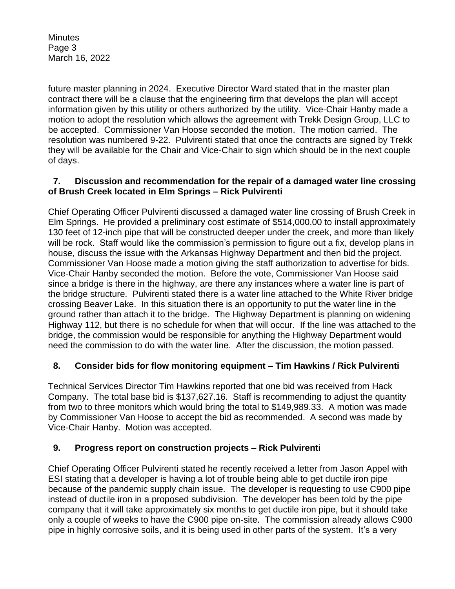**Minutes** Page 3 March 16, 2022

future master planning in 2024. Executive Director Ward stated that in the master plan contract there will be a clause that the engineering firm that develops the plan will accept information given by this utility or others authorized by the utility. Vice-Chair Hanby made a motion to adopt the resolution which allows the agreement with Trekk Design Group, LLC to be accepted. Commissioner Van Hoose seconded the motion. The motion carried. The resolution was numbered 9-22. Pulvirenti stated that once the contracts are signed by Trekk they will be available for the Chair and Vice-Chair to sign which should be in the next couple of days.

# **7. Discussion and recommendation for the repair of a damaged water line crossing of Brush Creek located in Elm Springs – Rick Pulvirenti**

Chief Operating Officer Pulvirenti discussed a damaged water line crossing of Brush Creek in Elm Springs. He provided a preliminary cost estimate of \$514,000.00 to install approximately 130 feet of 12-inch pipe that will be constructed deeper under the creek, and more than likely will be rock. Staff would like the commission's permission to figure out a fix, develop plans in house, discuss the issue with the Arkansas Highway Department and then bid the project. Commissioner Van Hoose made a motion giving the staff authorization to advertise for bids. Vice-Chair Hanby seconded the motion. Before the vote, Commissioner Van Hoose said since a bridge is there in the highway, are there any instances where a water line is part of the bridge structure. Pulvirenti stated there is a water line attached to the White River bridge crossing Beaver Lake. In this situation there is an opportunity to put the water line in the ground rather than attach it to the bridge. The Highway Department is planning on widening Highway 112, but there is no schedule for when that will occur. If the line was attached to the bridge, the commission would be responsible for anything the Highway Department would need the commission to do with the water line. After the discussion, the motion passed.

# **8. Consider bids for flow monitoring equipment – Tim Hawkins / Rick Pulvirenti**

Technical Services Director Tim Hawkins reported that one bid was received from Hack Company. The total base bid is \$137,627.16. Staff is recommending to adjust the quantity from two to three monitors which would bring the total to \$149,989.33. A motion was made by Commissioner Van Hoose to accept the bid as recommended. A second was made by Vice-Chair Hanby. Motion was accepted.

# **9. Progress report on construction projects – Rick Pulvirenti**

Chief Operating Officer Pulvirenti stated he recently received a letter from Jason Appel with ESI stating that a developer is having a lot of trouble being able to get ductile iron pipe because of the pandemic supply chain issue. The developer is requesting to use C900 pipe instead of ductile iron in a proposed subdivision. The developer has been told by the pipe company that it will take approximately six months to get ductile iron pipe, but it should take only a couple of weeks to have the C900 pipe on-site. The commission already allows C900 pipe in highly corrosive soils, and it is being used in other parts of the system. It's a very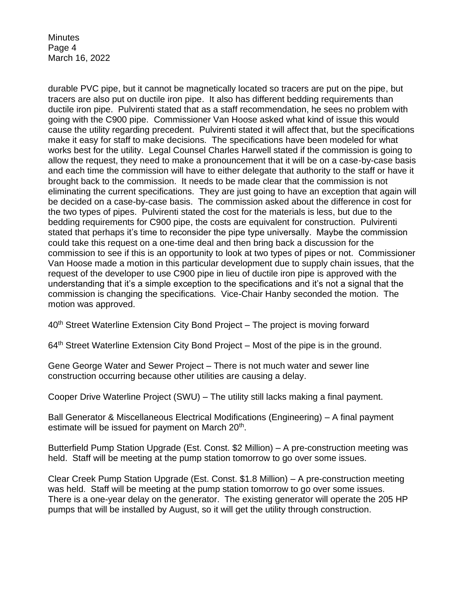**Minutes** Page 4 March 16, 2022

durable PVC pipe, but it cannot be magnetically located so tracers are put on the pipe, but tracers are also put on ductile iron pipe. It also has different bedding requirements than ductile iron pipe. Pulvirenti stated that as a staff recommendation, he sees no problem with going with the C900 pipe. Commissioner Van Hoose asked what kind of issue this would cause the utility regarding precedent. Pulvirenti stated it will affect that, but the specifications make it easy for staff to make decisions. The specifications have been modeled for what works best for the utility. Legal Counsel Charles Harwell stated if the commission is going to allow the request, they need to make a pronouncement that it will be on a case-by-case basis and each time the commission will have to either delegate that authority to the staff or have it brought back to the commission. It needs to be made clear that the commission is not eliminating the current specifications. They are just going to have an exception that again will be decided on a case-by-case basis. The commission asked about the difference in cost for the two types of pipes. Pulvirenti stated the cost for the materials is less, but due to the bedding requirements for C900 pipe, the costs are equivalent for construction. Pulvirenti stated that perhaps it's time to reconsider the pipe type universally. Maybe the commission could take this request on a one-time deal and then bring back a discussion for the commission to see if this is an opportunity to look at two types of pipes or not. Commissioner Van Hoose made a motion in this particular development due to supply chain issues, that the request of the developer to use C900 pipe in lieu of ductile iron pipe is approved with the understanding that it's a simple exception to the specifications and it's not a signal that the commission is changing the specifications. Vice-Chair Hanby seconded the motion. The motion was approved.

40<sup>th</sup> Street Waterline Extension City Bond Project – The project is moving forward

 $64<sup>th</sup>$  Street Waterline Extension City Bond Project – Most of the pipe is in the ground.

Gene George Water and Sewer Project – There is not much water and sewer line construction occurring because other utilities are causing a delay.

Cooper Drive Waterline Project (SWU) – The utility still lacks making a final payment.

Ball Generator & Miscellaneous Electrical Modifications (Engineering) – A final payment estimate will be issued for payment on March 20<sup>th</sup>.

Butterfield Pump Station Upgrade (Est. Const. \$2 Million) – A pre-construction meeting was held. Staff will be meeting at the pump station tomorrow to go over some issues.

Clear Creek Pump Station Upgrade (Est. Const. \$1.8 Million) – A pre-construction meeting was held. Staff will be meeting at the pump station tomorrow to go over some issues. There is a one-year delay on the generator. The existing generator will operate the 205 HP pumps that will be installed by August, so it will get the utility through construction.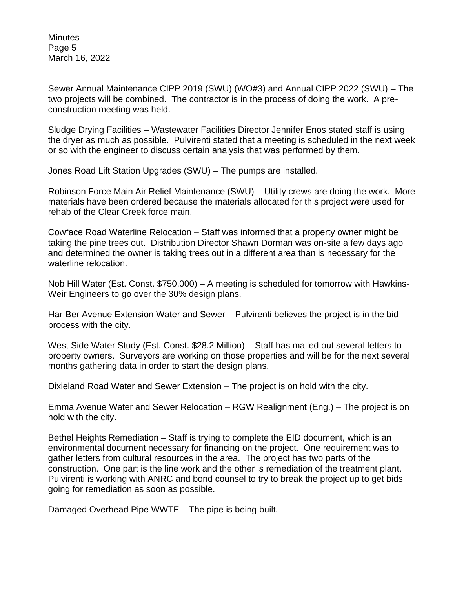**Minutes** Page 5 March 16, 2022

Sewer Annual Maintenance CIPP 2019 (SWU) (WO#3) and Annual CIPP 2022 (SWU) – The two projects will be combined. The contractor is in the process of doing the work. A preconstruction meeting was held.

Sludge Drying Facilities – Wastewater Facilities Director Jennifer Enos stated staff is using the dryer as much as possible. Pulvirenti stated that a meeting is scheduled in the next week or so with the engineer to discuss certain analysis that was performed by them.

Jones Road Lift Station Upgrades (SWU) – The pumps are installed.

Robinson Force Main Air Relief Maintenance (SWU) – Utility crews are doing the work. More materials have been ordered because the materials allocated for this project were used for rehab of the Clear Creek force main.

Cowface Road Waterline Relocation – Staff was informed that a property owner might be taking the pine trees out. Distribution Director Shawn Dorman was on-site a few days ago and determined the owner is taking trees out in a different area than is necessary for the waterline relocation.

Nob Hill Water (Est. Const. \$750,000) – A meeting is scheduled for tomorrow with Hawkins-Weir Engineers to go over the 30% design plans.

Har-Ber Avenue Extension Water and Sewer – Pulvirenti believes the project is in the bid process with the city.

West Side Water Study (Est. Const. \$28.2 Million) – Staff has mailed out several letters to property owners. Surveyors are working on those properties and will be for the next several months gathering data in order to start the design plans.

Dixieland Road Water and Sewer Extension – The project is on hold with the city.

Emma Avenue Water and Sewer Relocation – RGW Realignment (Eng.) – The project is on hold with the city.

Bethel Heights Remediation – Staff is trying to complete the EID document, which is an environmental document necessary for financing on the project. One requirement was to gather letters from cultural resources in the area. The project has two parts of the construction. One part is the line work and the other is remediation of the treatment plant. Pulvirenti is working with ANRC and bond counsel to try to break the project up to get bids going for remediation as soon as possible.

Damaged Overhead Pipe WWTF – The pipe is being built.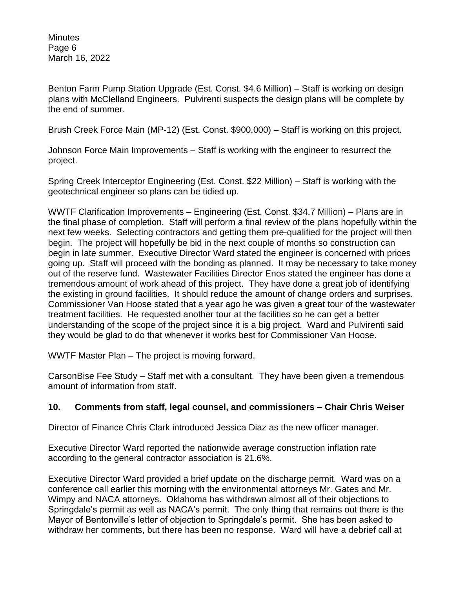**Minutes** Page 6 March 16, 2022

Benton Farm Pump Station Upgrade (Est. Const. \$4.6 Million) – Staff is working on design plans with McClelland Engineers. Pulvirenti suspects the design plans will be complete by the end of summer.

Brush Creek Force Main (MP-12) (Est. Const. \$900,000) – Staff is working on this project.

Johnson Force Main Improvements – Staff is working with the engineer to resurrect the project.

Spring Creek Interceptor Engineering (Est. Const. \$22 Million) – Staff is working with the geotechnical engineer so plans can be tidied up.

WWTF Clarification Improvements – Engineering (Est. Const. \$34.7 Million) – Plans are in the final phase of completion. Staff will perform a final review of the plans hopefully within the next few weeks. Selecting contractors and getting them pre-qualified for the project will then begin. The project will hopefully be bid in the next couple of months so construction can begin in late summer. Executive Director Ward stated the engineer is concerned with prices going up. Staff will proceed with the bonding as planned. It may be necessary to take money out of the reserve fund. Wastewater Facilities Director Enos stated the engineer has done a tremendous amount of work ahead of this project. They have done a great job of identifying the existing in ground facilities. It should reduce the amount of change orders and surprises. Commissioner Van Hoose stated that a year ago he was given a great tour of the wastewater treatment facilities. He requested another tour at the facilities so he can get a better understanding of the scope of the project since it is a big project. Ward and Pulvirenti said they would be glad to do that whenever it works best for Commissioner Van Hoose.

WWTF Master Plan – The project is moving forward.

CarsonBise Fee Study – Staff met with a consultant. They have been given a tremendous amount of information from staff.

# **10. Comments from staff, legal counsel, and commissioners – Chair Chris Weiser**

Director of Finance Chris Clark introduced Jessica Diaz as the new officer manager.

Executive Director Ward reported the nationwide average construction inflation rate according to the general contractor association is 21.6%.

Executive Director Ward provided a brief update on the discharge permit. Ward was on a conference call earlier this morning with the environmental attorneys Mr. Gates and Mr. Wimpy and NACA attorneys. Oklahoma has withdrawn almost all of their objections to Springdale's permit as well as NACA's permit. The only thing that remains out there is the Mayor of Bentonville's letter of objection to Springdale's permit. She has been asked to withdraw her comments, but there has been no response. Ward will have a debrief call at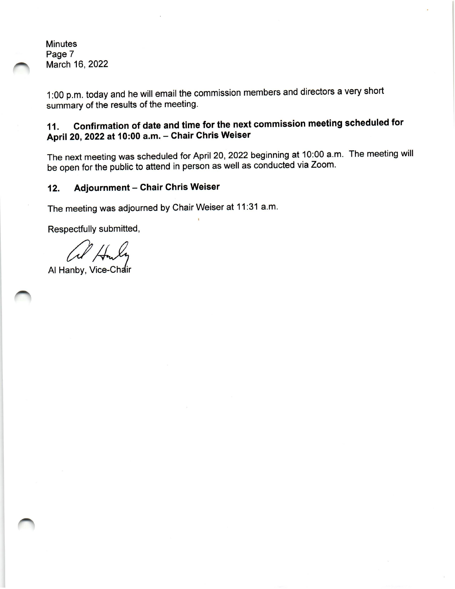**Minutes** Page 7 March 16, 2022

1:00 p.m. today and he will email the commission members and directors a very short summary of the results of the meeting.

#### Confirmation of date and time for the next commission meeting scheduled for 11. April 20, 2022 at 10:00 a.m. - Chair Chris Weiser

The next meeting was scheduled for April 20, 2022 beginning at 10:00 a.m. The meeting will be open for the public to attend in person as well as conducted via Zoom.

#### **Adjournment - Chair Chris Weiser**  $12.$

The meeting was adjourned by Chair Weiser at 11:31 a.m.

Respectfully submitted,

Al Hanby, Vice-Chair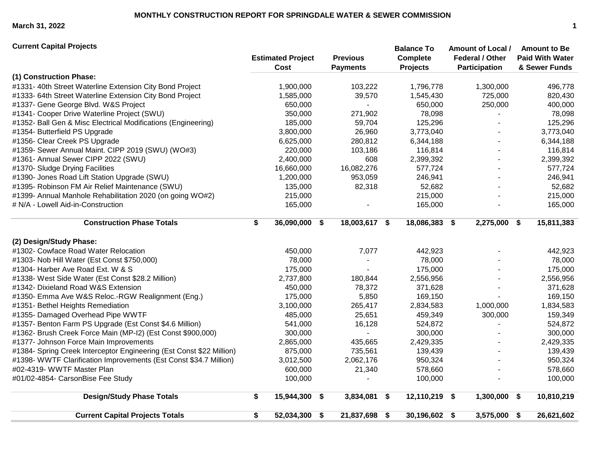**March 31, 2022 1**

| <b>Current Capital Projects</b>                                      |                                  |                                    | <b>Balance To</b>                  | <b>Amount of Local /</b>                       | <b>Amount to Be</b>                     |
|----------------------------------------------------------------------|----------------------------------|------------------------------------|------------------------------------|------------------------------------------------|-----------------------------------------|
|                                                                      | <b>Estimated Project</b><br>Cost | <b>Previous</b><br><b>Payments</b> | <b>Complete</b><br><b>Projects</b> | <b>Federal / Other</b><br><b>Participation</b> | <b>Paid With Water</b><br>& Sewer Funds |
| (1) Construction Phase:                                              |                                  |                                    |                                    |                                                |                                         |
| #1331-40th Street Waterline Extension City Bond Project              | 1,900,000                        | 103,222                            | 1,796,778                          | 1,300,000                                      | 496,778                                 |
| #1333- 64th Street Waterline Extension City Bond Project             | 1,585,000                        | 39,570                             | 1,545,430                          | 725,000                                        | 820,430                                 |
| #1337- Gene George Blvd. W&S Project                                 | 650,000                          |                                    | 650,000                            | 250,000                                        | 400,000                                 |
| #1341- Cooper Drive Waterline Project (SWU)                          | 350,000                          | 271,902                            | 78,098                             |                                                | 78,098                                  |
| #1352- Ball Gen & Misc Electrical Modifications (Engineering)        | 185,000                          | 59,704                             | 125,296                            |                                                | 125,296                                 |
| #1354- Butterfield PS Upgrade                                        | 3,800,000                        | 26,960                             | 3,773,040                          |                                                | 3,773,040                               |
| #1356- Clear Creek PS Upgrade                                        | 6,625,000                        | 280,812                            | 6,344,188                          |                                                | 6,344,188                               |
| #1359- Sewer Annual Maint. CIPP 2019 (SWU) (WO#3)                    | 220,000                          | 103,186                            | 116,814                            |                                                | 116,814                                 |
| #1361- Annual Sewer CIPP 2022 (SWU)                                  | 2,400,000                        | 608                                | 2,399,392                          |                                                | 2,399,392                               |
| #1370- Sludge Drying Facilities                                      | 16,660,000                       | 16,082,276                         | 577,724                            |                                                | 577,724                                 |
| #1390- Jones Road Lift Station Upgrade (SWU)                         | 1,200,000                        | 953,059                            | 246,941                            |                                                | 246,941                                 |
| #1395- Robinson FM Air Relief Maintenance (SWU)                      | 135,000                          | 82,318                             | 52,682                             |                                                | 52,682                                  |
| #1399- Annual Manhole Rehabilitation 2020 (on going WO#2)            | 215,000                          |                                    | 215,000                            |                                                | 215,000                                 |
| # N/A - Lowell Aid-in-Construction                                   | 165,000                          |                                    | 165,000                            |                                                | 165,000                                 |
| <b>Construction Phase Totals</b>                                     | \$<br>36,090,000 \$              | 18,003,617 \$                      | 18,086,383 \$                      | 2,275,000 \$                                   | 15,811,383                              |
| (2) Design/Study Phase:                                              |                                  |                                    |                                    |                                                |                                         |
| #1302- Cowface Road Water Relocation                                 | 450,000                          | 7,077                              | 442,923                            |                                                | 442,923                                 |
| #1303- Nob Hill Water (Est Const \$750,000)                          | 78,000                           |                                    | 78,000                             |                                                | 78,000                                  |
| #1304- Harber Ave Road Ext. W & S                                    | 175,000                          | $\blacksquare$                     | 175,000                            |                                                | 175,000                                 |
| #1338- West Side Water (Est Const \$28.2 Million)                    | 2,737,800                        | 180,844                            | 2,556,956                          |                                                | 2,556,956                               |
| #1342- Dixieland Road W&S Extension                                  | 450,000                          | 78,372                             | 371,628                            |                                                | 371,628                                 |
| #1350- Emma Ave W&S Reloc.-RGW Realignment (Eng.)                    | 175,000                          | 5,850                              | 169,150                            |                                                | 169,150                                 |
| #1351- Bethel Heights Remediation                                    | 3,100,000                        | 265,417                            | 2,834,583                          | 1,000,000                                      | 1,834,583                               |
| #1355- Damaged Overhead Pipe WWTF                                    | 485,000                          | 25,651                             | 459,349                            | 300,000                                        | 159,349                                 |
| #1357- Benton Farm PS Upgrade (Est Const \$4.6 Million)              | 541,000                          | 16,128                             | 524,872                            |                                                | 524,872                                 |
| #1362- Brush Creek Force Main (MP-I2) (Est Const \$900,000)          | 300,000                          |                                    | 300,000                            |                                                | 300,000                                 |
| #1377- Johnson Force Main Improvements                               | 2,865,000                        | 435,665                            | 2,429,335                          |                                                | 2,429,335                               |
| #1384- Spring Creek Interceptor Engineering (Est Const \$22 Million) | 875,000                          | 735,561                            | 139,439                            |                                                | 139,439                                 |
| #1398- WWTF Clarification Improvements (Est Const \$34.7 Million)    | 3,012,500                        | 2,062,176                          | 950,324                            |                                                | 950,324                                 |
| #02-4319- WWTF Master Plan                                           | 600,000                          | 21,340                             | 578,660                            |                                                | 578,660                                 |
| #01/02-4854- CarsonBise Fee Study                                    | 100,000                          |                                    | 100,000                            |                                                | 100,000                                 |
| <b>Design/Study Phase Totals</b>                                     | \$<br>15,944,300 \$              | 3,834,081                          | 12,110,219 \$<br>\$                | 1,300,000 \$                                   | 10,810,219                              |
| <b>Current Capital Projects Totals</b>                               | \$<br>52,034,300 \$              | 21,837,698                         | 30,196,602 \$<br>-\$               | 3,575,000 \$                                   | 26,621,602                              |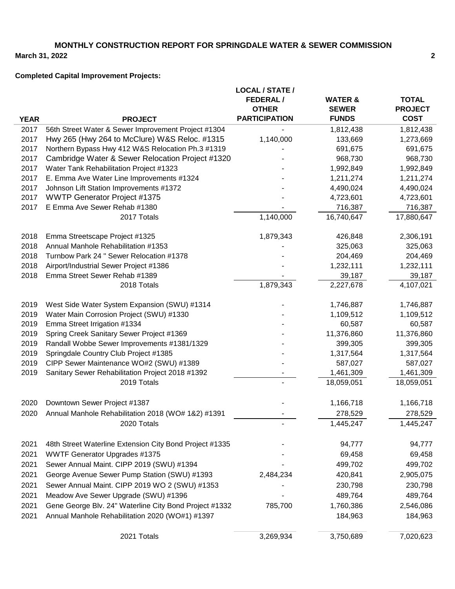# **MONTHLY CONSTRUCTION REPORT FOR SPRINGDALE WATER & SEWER COMMISSION**

**March 31, 2022**

# **Completed Capital Improvement Projects:**

|             |                                                         | <b>LOCAL / STATE /</b> |                    |                |
|-------------|---------------------------------------------------------|------------------------|--------------------|----------------|
|             |                                                         | <b>FEDERAL/</b>        | <b>WATER &amp;</b> | <b>TOTAL</b>   |
|             |                                                         | <b>OTHER</b>           | <b>SEWER</b>       | <b>PROJECT</b> |
| <b>YEAR</b> | <b>PROJECT</b>                                          | <b>PARTICIPATION</b>   | <b>FUNDS</b>       | <b>COST</b>    |
| 2017        | 56th Street Water & Sewer Improvement Project #1304     |                        | 1,812,438          | 1,812,438      |
| 2017        | Hwy 265 (Hwy 264 to McClure) W&S Reloc. #1315           | 1,140,000              | 133,669            | 1,273,669      |
| 2017        | Northern Bypass Hwy 412 W&S Relocation Ph.3 #1319       |                        | 691,675            | 691,675        |
| 2017        | Cambridge Water & Sewer Relocation Project #1320        |                        | 968,730            | 968,730        |
| 2017        | Water Tank Rehabilitation Project #1323                 |                        | 1,992,849          | 1,992,849      |
| 2017        | E. Emma Ave Water Line Improvements #1324               |                        | 1,211,274          | 1,211,274      |
| 2017        | Johnson Lift Station Improvements #1372                 |                        | 4,490,024          | 4,490,024      |
| 2017        | <b>WWTP Generator Project #1375</b>                     |                        | 4,723,601          | 4,723,601      |
| 2017        | E Emma Ave Sewer Rehab #1380                            |                        | 716,387            | 716,387        |
|             | 2017 Totals                                             | 1,140,000              | 16,740,647         | 17,880,647     |
| 2018        | Emma Streetscape Project #1325                          | 1,879,343              | 426,848            | 2,306,191      |
| 2018        | Annual Manhole Rehabilitation #1353                     |                        | 325,063            | 325,063        |
| 2018        | Turnbow Park 24 " Sewer Relocation #1378                |                        | 204,469            | 204,469        |
| 2018        | Airport/Industrial Sewer Project #1386                  |                        | 1,232,111          | 1,232,111      |
| 2018        | Emma Street Sewer Rehab #1389                           |                        | 39,187             | 39,187         |
|             | 2018 Totals                                             | 1,879,343              | 2,227,678          | 4,107,021      |
| 2019        | West Side Water System Expansion (SWU) #1314            |                        | 1,746,887          | 1,746,887      |
| 2019        | Water Main Corrosion Project (SWU) #1330                |                        | 1,109,512          | 1,109,512      |
| 2019        | Emma Street Irrigation #1334                            |                        | 60,587             | 60,587         |
| 2019        | Spring Creek Sanitary Sewer Project #1369               |                        | 11,376,860         | 11,376,860     |
| 2019        | Randall Wobbe Sewer Improvements #1381/1329             |                        | 399,305            | 399,305        |
| 2019        | Springdale Country Club Project #1385                   |                        | 1,317,564          | 1,317,564      |
| 2019        | CIPP Sewer Maintenance WO#2 (SWU) #1389                 |                        | 587,027            | 587,027        |
| 2019        | Sanitary Sewer Rehabilitation Project 2018 #1392        |                        | 1,461,309          | 1,461,309      |
|             | 2019 Totals                                             |                        | 18,059,051         | 18,059,051     |
| 2020        | Downtown Sewer Project #1387                            |                        | 1,166,718          | 1,166,718      |
| 2020        | Annual Manhole Rehabilitation 2018 (WO# 1&2) #1391      |                        | 278,529            | 278,529        |
|             | 2020 Totals                                             |                        | 1,445,247          | 1,445,247      |
| 2021        | 48th Street Waterline Extension City Bond Project #1335 |                        | 94,777             | 94,777         |
| 2021        | <b>WWTF Generator Upgrades #1375</b>                    |                        | 69,458             | 69,458         |
| 2021        | Sewer Annual Maint. CIPP 2019 (SWU) #1394               |                        | 499,702            | 499,702        |
| 2021        | George Avenue Sewer Pump Station (SWU) #1393            | 2,484,234              | 420,841            | 2,905,075      |
| 2021        | Sewer Annual Maint. CIPP 2019 WO 2 (SWU) #1353          |                        | 230,798            | 230,798        |
| 2021        | Meadow Ave Sewer Upgrade (SWU) #1396                    |                        | 489,764            | 489,764        |
| 2021        | Gene George Blv. 24" Waterline City Bond Project #1332  | 785,700                | 1,760,386          | 2,546,086      |
| 2021        | Annual Manhole Rehabilitation 2020 (WO#1) #1397         |                        | 184,963            | 184,963        |
|             | 2021 Totals                                             | 3,269,934              | 3,750,689          | 7,020,623      |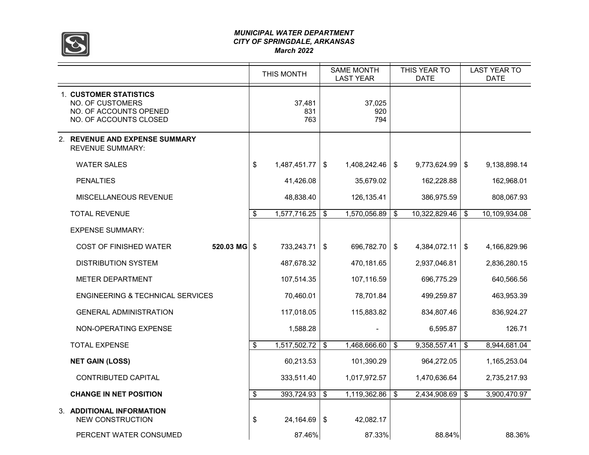

#### *MUNICIPAL WATER DEPARTMENT CITY OF SPRINGDALE, ARKANSAS March 2022*

|                                                                                                       | THIS MONTH           | <b>SAME MONTH</b><br><b>LAST YEAR</b> | THIS YEAR TO<br>DATE |               | <b>LAST YEAR TO</b><br><b>DATE</b> |
|-------------------------------------------------------------------------------------------------------|----------------------|---------------------------------------|----------------------|---------------|------------------------------------|
| <b>1. CUSTOMER STATISTICS</b><br>NO. OF CUSTOMERS<br>NO. OF ACCOUNTS OPENED<br>NO. OF ACCOUNTS CLOSED | 37,481<br>831<br>763 | 37,025<br>920<br>794                  |                      |               |                                    |
| 2. REVENUE AND EXPENSE SUMMARY<br><b>REVENUE SUMMARY:</b>                                             |                      |                                       |                      |               |                                    |
| <b>WATER SALES</b>                                                                                    | \$<br>1,487,451.77   | \$<br>1,408,242.46                    | \$<br>9,773,624.99   | \$            | 9,138,898.14                       |
| <b>PENALTIES</b>                                                                                      | 41,426.08            | 35,679.02                             | 162,228.88           |               | 162,968.01                         |
| MISCELLANEOUS REVENUE                                                                                 | 48,838.40            | 126,135.41                            | 386,975.59           |               | 808,067.93                         |
| <b>TOTAL REVENUE</b>                                                                                  | \$<br>1,577,716.25   | \$<br>1,570,056.89                    | \$<br>10,322,829.46  | \$            | 10,109,934.08                      |
| <b>EXPENSE SUMMARY:</b>                                                                               |                      |                                       |                      |               |                                    |
| <b>COST OF FINISHED WATER</b><br>520.03 MG                                                            | \$<br>733,243.71     | \$<br>696,782.70                      | \$<br>4,384,072.11   | $\sqrt[6]{3}$ | 4,166,829.96                       |
| <b>DISTRIBUTION SYSTEM</b>                                                                            | 487,678.32           | 470,181.65                            | 2,937,046.81         |               | 2,836,280.15                       |
| <b>METER DEPARTMENT</b>                                                                               | 107,514.35           | 107,116.59                            | 696,775.29           |               | 640,566.56                         |
| <b>ENGINEERING &amp; TECHNICAL SERVICES</b>                                                           | 70,460.01            | 78,701.84                             | 499,259.87           |               | 463,953.39                         |
| <b>GENERAL ADMINISTRATION</b>                                                                         | 117,018.05           | 115,883.82                            | 834,807.46           |               | 836,924.27                         |
| NON-OPERATING EXPENSE                                                                                 | 1,588.28             |                                       | 6,595.87             |               | 126.71                             |
| <b>TOTAL EXPENSE</b>                                                                                  | \$<br>1,517,502.72   | \$<br>1,468,666.60                    | \$<br>9,358,557.41   | \$            | 8,944,681.04                       |
| <b>NET GAIN (LOSS)</b>                                                                                | 60,213.53            | 101,390.29                            | 964,272.05           |               | 1,165,253.04                       |
| <b>CONTRIBUTED CAPITAL</b>                                                                            | 333,511.40           | 1,017,972.57                          | 1,470,636.64         |               | 2,735,217.93                       |
| <b>CHANGE IN NET POSITION</b>                                                                         | \$<br>393,724.93     | \$<br>1,119,362.86                    | \$<br>2,434,908.69   | \$            | 3,900,470.97                       |
| 3. ADDITIONAL INFORMATION<br><b>NEW CONSTRUCTION</b>                                                  | \$<br>24,164.69      | \$<br>42,082.17                       |                      |               |                                    |
| PERCENT WATER CONSUMED                                                                                | 87.46%               | 87.33%                                | 88.84%               |               | 88.36%                             |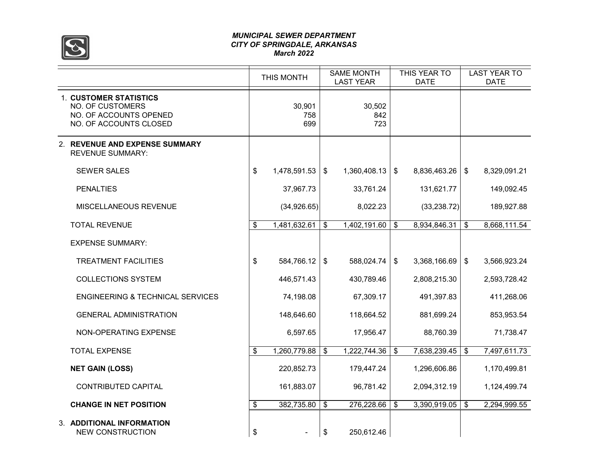

#### *MUNICIPAL SEWER DEPARTMENT CITY OF SPRINGDALE, ARKANSAS March 2022*

|                                                                                                       | THIS MONTH           | <b>SAME MONTH</b><br><b>LAST YEAR</b> |                      | THIS YEAR TO<br><b>DATE</b> |              |                           | <b>LAST YEAR TO</b><br><b>DATE</b> |
|-------------------------------------------------------------------------------------------------------|----------------------|---------------------------------------|----------------------|-----------------------------|--------------|---------------------------|------------------------------------|
| <b>1. CUSTOMER STATISTICS</b><br>NO. OF CUSTOMERS<br>NO. OF ACCOUNTS OPENED<br>NO. OF ACCOUNTS CLOSED | 30,901<br>758<br>699 |                                       | 30,502<br>842<br>723 |                             |              |                           |                                    |
| 2. REVENUE AND EXPENSE SUMMARY<br><b>REVENUE SUMMARY:</b>                                             |                      |                                       |                      |                             |              |                           |                                    |
| <b>SEWER SALES</b>                                                                                    | \$<br>1,478,591.53   | $\frac{1}{2}$                         | 1,360,408.13         | $\sqrt[6]{2}$               | 8,836,463.26 | $\sqrt[6]{3}$             | 8,329,091.21                       |
| <b>PENALTIES</b>                                                                                      | 37,967.73            |                                       | 33,761.24            |                             | 131,621.77   |                           | 149,092.45                         |
| MISCELLANEOUS REVENUE                                                                                 | (34,926.65)          |                                       | 8,022.23             |                             | (33, 238.72) |                           | 189,927.88                         |
| <b>TOTAL REVENUE</b>                                                                                  | \$<br>1,481,632.61   | \$                                    | 1,402,191.60         | $\boldsymbol{\mathsf{s}}$   | 8,934,846.31 | $\boldsymbol{\mathsf{s}}$ | 8,668,111.54                       |
| <b>EXPENSE SUMMARY:</b>                                                                               |                      |                                       |                      |                             |              |                           |                                    |
| <b>TREATMENT FACILITIES</b>                                                                           | \$<br>584,766.12     | \$                                    | 588,024.74           | \$                          | 3,368,166.69 | $\sqrt[6]{3}$             | 3,566,923.24                       |
| <b>COLLECTIONS SYSTEM</b>                                                                             | 446,571.43           |                                       | 430,789.46           |                             | 2,808,215.30 |                           | 2,593,728.42                       |
| <b>ENGINEERING &amp; TECHNICAL SERVICES</b>                                                           | 74,198.08            |                                       | 67,309.17            |                             | 491,397.83   |                           | 411,268.06                         |
| <b>GENERAL ADMINISTRATION</b>                                                                         | 148,646.60           |                                       | 118,664.52           |                             | 881,699.24   |                           | 853,953.54                         |
| NON-OPERATING EXPENSE                                                                                 | 6,597.65             |                                       | 17,956.47            |                             | 88,760.39    |                           | 71,738.47                          |
| <b>TOTAL EXPENSE</b>                                                                                  | \$<br>1,260,779.88   | \$                                    | 1,222,744.36         | $\boldsymbol{\mathsf{s}}$   | 7,638,239.45 | $\mathfrak{F}$            | 7,497,611.73                       |
| <b>NET GAIN (LOSS)</b>                                                                                | 220,852.73           |                                       | 179,447.24           |                             | 1,296,606.86 |                           | 1,170,499.81                       |
| <b>CONTRIBUTED CAPITAL</b>                                                                            | 161,883.07           |                                       | 96,781.42            |                             | 2,094,312.19 |                           | 1,124,499.74                       |
| <b>CHANGE IN NET POSITION</b>                                                                         | \$<br>382,735.80     | \$                                    | 276,228.66           | \$                          | 3,390,919.05 | \$                        | 2,294,999.55                       |
| 3. ADDITIONAL INFORMATION<br><b>NEW CONSTRUCTION</b>                                                  | \$                   | \$                                    | 250,612.46           |                             |              |                           |                                    |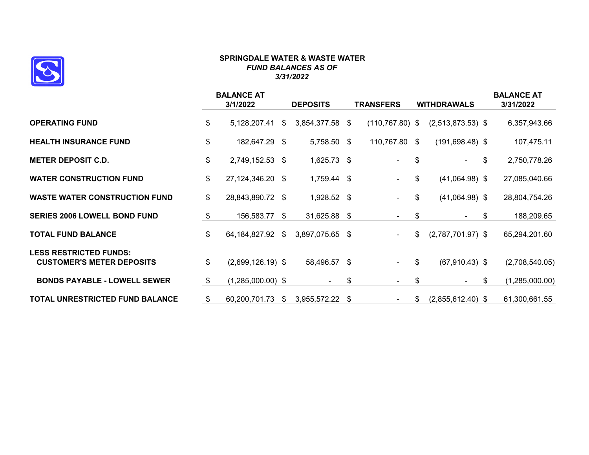

#### **SPRINGDALE WATER & WASTE WATER** *FUND BALANCES AS OF 3/31/2022*

|                                                                   | <b>BALANCE AT</b><br>3/1/2022 |                     | <b>DEPOSITS</b> |                 |      | <b>TRANSFERS</b>   |    | <b>WITHDRAWALS</b>  | <b>BALANCE AT</b><br>3/31/2022 |  |
|-------------------------------------------------------------------|-------------------------------|---------------------|-----------------|-----------------|------|--------------------|----|---------------------|--------------------------------|--|
| <b>OPERATING FUND</b>                                             | \$                            | 5,128,207.41        | \$              | 3,854,377.58 \$ |      | $(110, 767.80)$ \$ |    | $(2,513,873.53)$ \$ | 6,357,943.66                   |  |
| <b>HEALTH INSURANCE FUND</b>                                      | \$                            | 182,647.29 \$       |                 | 5,758.50 \$     |      | 110,767.80 \$      |    | $(191,698.48)$ \$   | 107,475.11                     |  |
| <b>METER DEPOSIT C.D.</b>                                         | \$                            | 2,749,152.53 \$     |                 | 1,625.73 \$     |      | $\blacksquare$     | \$ | ۰.                  | \$<br>2,750,778.26             |  |
| <b>WATER CONSTRUCTION FUND</b>                                    | \$                            | 27,124,346.20 \$    |                 | 1,759.44 \$     |      | $\blacksquare$     | \$ | $(41,064.98)$ \$    | 27,085,040.66                  |  |
| <b>WASTE WATER CONSTRUCTION FUND</b>                              | \$                            | 28,843,890.72 \$    |                 | 1,928.52 \$     |      | $\blacksquare$     | \$ | $(41,064.98)$ \$    | 28,804,754.26                  |  |
| <b>SERIES 2006 LOWELL BOND FUND</b>                               | \$                            | 156,583.77 \$       |                 | 31,625.88 \$    |      | $\blacksquare$     | \$ | $\sim$              | \$<br>188,209.65               |  |
| <b>TOTAL FUND BALANCE</b>                                         | \$                            | 64,184,827.92       | \$              | 3,897,075.65    | - \$ | $\sim$             | \$ | $(2,787,701.97)$ \$ | 65,294,201.60                  |  |
| <b>LESS RESTRICTED FUNDS:</b><br><b>CUSTOMER'S METER DEPOSITS</b> | \$                            | $(2,699,126.19)$ \$ |                 | 58,496.57 \$    |      | $\blacksquare$     | \$ | $(67,910.43)$ \$    | (2,708,540.05)                 |  |
| <b>BONDS PAYABLE - LOWELL SEWER</b>                               | \$                            | $(1,285,000.00)$ \$ |                 | $\blacksquare$  | \$   | $\blacksquare$     | \$ | $\sim$              | \$<br>(1,285,000.00)           |  |
| TOTAL UNRESTRICTED FUND BALANCE                                   | \$                            | 60,200,701.73       | \$              | 3,955,572.22    | - \$ | $\blacksquare$     | \$ | $(2,855,612.40)$ \$ | 61,300,661.55                  |  |